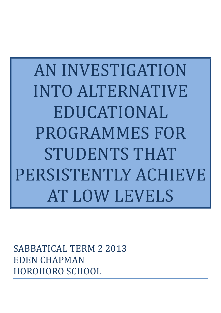AN#INVESTIGATION# INTO ALTERNATIVE EDUCATIONAL PROGRAMMES FOR STUDENTS THAT PERSISTENTLY ACHIEVE AT LOW LEVELS

SABBATICAL TERM 2 2013 EDEN CHAPMAN HOROHORO SCHOOL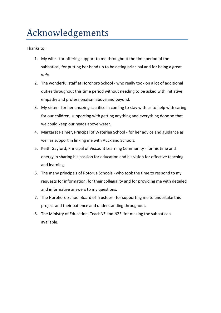# Acknowledgements.

Thanks to:

- 1. My wife for offering support to me throughout the time period of the sabbatical, for putting her hand up to be acting principal and for being a great wife
- 2. The wonderful staff at Horohoro School who really took on a lot of additional duties throughout this time period without needing to be asked with initiative, empathy and professionalism above and beyond.
- 3. My sister for her amazing sacrifice in coming to stay with us to help with caring for our children, supporting with getting anything and everything done so that we could keep our heads above water.
- 4. Margaret Palmer, Principal of Waterlea School for her advice and guidance as well as support in linking me with Auckland Schools.
- 5. Keith Gayford, Principal of Viscount Learning Community for his time and energy in sharing his passion for education and his vision for effective teaching and learning.
- 6. The many principals of Rotorua Schools who took the time to respond to my requests for information, for their collegiality and for providing me with detailed and informative answers to my questions.
- 7. The Horohoro School Board of Trustees for supporting me to undertake this project and their patience and understanding throughout.
- 8. The Ministry of Education, TeachNZ and NZEI for making the sabbaticals available.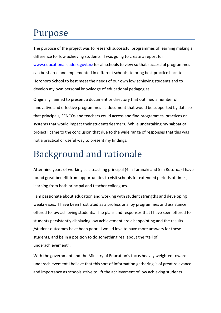### Purpose

The purpose of the project was to research successful programmes of learning making a difference for low achieving students. I was going to create a report for www.educationalleaders.govt.nz for all schools to view so that successful programmes can be shared and implemented in different schools, to bring best practice back to Horohoro School to best meet the needs of our own low achieving students and to develop my own personal knowledge of educational pedagogies.

Originally I aimed to present a document or directory that outlined a number of innovative and effective programmes - a document that would be supported by data so that principals, SENCOs and teachers could access and find programmes, practices or systems that would impact their students/learners. While undertaking my sabbatical project I came to the conclusion that due to the wide range of responses that this was not a practical or useful way to present my findings.

## Background and rationale

After nine years of working as a teaching principal (4 in Taranaki and 5 in Rotorua) I have found great benefit from opportunities to visit schools for extended periods of times, learning from both principal and teacher colleagues.

I am passionate about education and working with student strengths and developing weaknesses. I have been frustrated as a professional by programmes and assistance offered to low achieving students. The plans and responses that I have seen offered to students persistently displaying low achievement are disappointing and the results /student outcomes have been poor. I would love to have more answers for these students, and be in a position to do something real about the "tail of underachievement".

With the government and the Ministry of Education's focus heavily weighted towards underachievement I believe that this sort of information gathering is of great relevance and importance as schools strive to lift the achievement of low achieving students.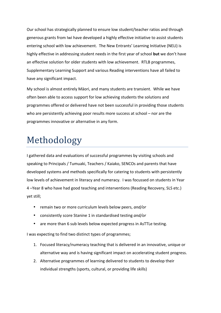Our school has strategically planned to ensure low student/teacher ratios and through generous grants from Iwi have developed a highly effective initiative to assist students entering school with low achievement. The New Entrants' Learning Initiative (NELI) is highly effective in addressing student needs in the first year of school **but** we don't have an effective solution for older students with low achievement. RTLB programmes, Supplementary Learning Support and various Reading interventions have all failed to have any significant impact.

My school is almost entirely Māori, and many students are transient. While we have often been able to access support for low achieving students the solutions and programmes offered or delivered have not been successful in providing those students who are persistently achieving poor results more success at school – nor are the programmes innovative or alternative in any form.

### Methodology

I gathered data and evaluations of successful programmes by visiting schools and speaking to Principals / Tumuaki, Teachers / Kaiako, SENCOs and parents that have developed systems and methods specifically for catering to students with persistently low levels of achievement in literacy and numeracy. I was focussed on students in Year 4 -Year 8 who have had good teaching and interventions (Reading Recovery, SLS etc.) yet still;

- remain two or more curriculum levels below peers, and/or
- consistently score Stanine 1 in standardised testing and/or
- are more than 6 sub levels below expected progress in AsTTLe testing.

I was expecting to find two distinct types of programmes;

- 1. Focused literacy/numeracy teaching that is delivered in an innovative, unique or alternative way and is having significant impact on accelerating student progress.
- 2. Alternative programmes of learning delivered to students to develop their individual strengths (sports, cultural, or providing life skills)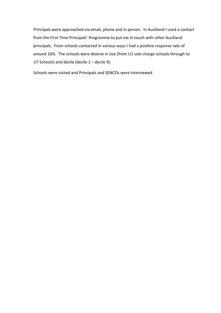Principals were approached via email, phone and in person. In Auckland I used a contact from the First Time Principals' Programme to put me in touch with other Auckland principals. From schools contacted in various ways I had a positive response rate of around 16%. The schools were diverse in size (from U1 sole charge schools through to U7 Schools) and decile (decile  $1$  – decile 9).

Schools were visited and Principals and SENCOs were interviewed.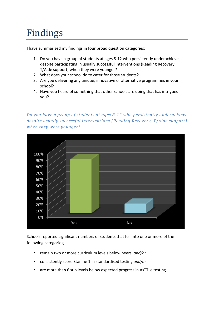# Findings

I have summarised my findings in four broad question categories;

- 1. Do you have a group of students at ages 8-12 who persistently underachieve despite participating in usually successful interventions (Reading Recovery, T/Aide support) when they were younger?
- 2. What does your school do to cater for those students?
- 3. Are you delivering any unique, innovative or alternative programmes in your school?
- 4. Have you heard of something that other schools are doing that has intrigued you?

*Do you have a group of students at ages 8-12 who persistently underachieve despite usually successful interventions (Reading Recovery, T/Aide support)* when they were younger?



Schools reported significant numbers of students that fell into one or more of the following categories;

- remain two or more curriculum levels below peers, and/or
- consistently score Stanine 1 in standardised testing *and/or*
- are more than 6 sub levels below expected progress in AsTTLe testing.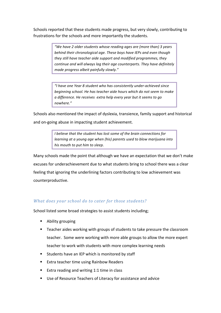Schools reported that these students made progress, but very slowly, contributing to frustrations for the schools and more importantly the students.

> *"We\*have\*2\*older\*students\*whose\*reading\*ages\*are\*(more\*than)\*3\*years\** behind their chronological age. These boys have IEPs and even though they still have teacher aide support and modified programmes, they continue and will always lag their age counterparts. They have definitely *made progress albeit painfully slowly."*

> "I have one Year 8 student who has consistently under-achieved since *beginning\*school.\*He\*has\*teacher\*aide\*hours\*which\*do\*not\*seem\*to\*make\* a\*difference.\*He\*receives\*\*extra\*help\*every\*year\*but\*it\*seems\*to\*go\* nowhere."*

Schools also mentioned the impact of dyslexia, transience, family support and historical and on-going abuse in impacting student achievement.

> *I* believe that the student has lost some of the brain connections for *learning\*at\*a\*young\*age\*when\*(his) parents\*used\*to\*blow\*marijuana\*into\* his\*mouth\*to\*put\*him\*to\*sleep.*

Many schools made the point that although we have an expectation that we don't make excuses for underachievement due to what students bring to school there was a clear feeling that ignoring the underlining factors contributing to low achievement was counterproductive.

#### What does your school do to cater for those students?

School listed some broad strategies to assist students including;

- **E** Ability grouping
- " Teacher aides working with groups of students to take pressure the classroom teacher. Some were working with more able groups to allow the more expert teacher to work with students with more complex learning needs
- Students have an IEP which is monitored by staff
- **Extra teacher time using Rainbow Readers**
- Extra reading and writing 1:1 time in class
- Use of Resource Teachers of Literacy for assistance and advice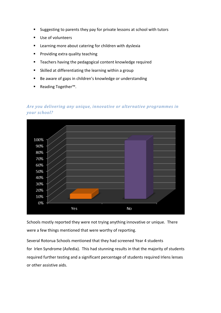- " Suggesting to parents they pay for private lessons at school with tutors
- **Use of volunteers**
- **E** Learning more about catering for children with dyslexia
- " Providing extra quality teaching
- " Teachers having the pedagogical content knowledge required
- **E** Skilled at differentiating the learning within a group
- " Be aware of gaps in children's knowledge or understanding
- Reading Together™.

### *Are you delivering any unique, innovative or alternative programmes in your#school?*



Schools mostly reported they were not trying anything innovative or unique. There were a few things mentioned that were worthy of reporting.

Several Rotorua Schools mentioned that they had screened Year 4 students for Irlen Syndrome (Asfedia). This had stunning results in that the majority of students required further testing and a significant percentage of students required Irlens lenses or other assistive aids.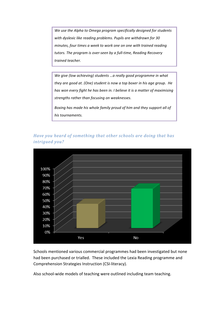We use the Alpha to Omega program specifically designed for students with dyslexic like reading problems. Pupils are withdrawn for 30 *minutes, four times a week to work one on one with trained reading* tutors. The program is over-seen by a full-time, Reading Recovery trained teacher.

We give (low achieving) students ...a really good programme in what *they are good at. (One) student is now a top boxer in his age group. He* has won every fight he has been in. I believe it is a matter of maximising *strengths\*rather\*than\*focusing\*on\*weaknesses.\**

Boxing has made his whole family proud of him and they support all of *his\*tournaments.*

### *Have you heard of something that other schools are doing that has intrigued you?*



Schools mentioned various commercial programmes had been investigated but none had been purchased or trialled. These included the Lexia Reading programme and Comprehension Strategies Instruction (CSI-literacy).

Also school-wide models of teaching were outlined including team teaching.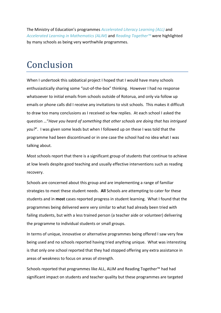The Ministry of Education's programmes *Accelerated Literacy Learning (ALL)* and *Accelerated Learning in Mathematics (ALiM)* and *Reading Together™* were highlighted by many schools as being very worthwhile programmes.

### Conclusion

When I undertook this sabbatical project I hoped that I would have many schools enthusiastically sharing some "out-of-the-box" thinking. However I had no response whatsoever to initial emails from schools outside of Rotorua, and only via follow up emails or phone calls did I receive any invitations to visit schools. This makes it difficult to draw too many conclusions as I received so few replies. At each school I asked the question!…"*Have\*you\*heard\*of\*something\*that\*other\*schools\*are\*doing\*that\*has\*intrigued\* you?*". I was given some leads but when I followed up on these I was told that the programme had been discontinued or in one case the school had no idea what I was talking about.

Most schools report that there is a significant group of students that continue to achieve at low levels despite good teaching and usually effective interventions such as reading recovery.

Schools are concerned about this group and are implementing a range of familiar strategies to meet these student needs. All Schools are attempting to cater for these students and in **most** cases reported progress in student learning. What I found that the programmes being delivered were very similar to what had already been tried with failing students, but with a less trained person (a teacher aide or volunteer) delivering the programme to individual students or small groups.

In terms of unique, innovative or alternative programmes being offered I saw very few being used and no schools reported having tried anything unique. What was interesting is that only one school reported that they had stopped offering any extra assistance in areas of weakness to focus on areas of strength.

Schools reported that programmes like ALL, ALiM and Reading Together™ had had significant impact on students and teacher quality but these programmes are targeted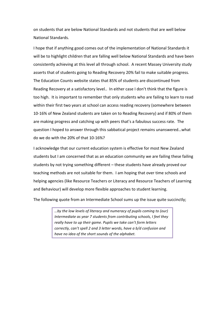on students that are below National Standards and not students that are well below National Standards.

I hope that if anything good comes out of the implementation of National Standards it will be to highlight children that are falling well below National Standards and have been consistently achieving at this level all through school. A recent Massey University study asserts that of students going to Reading Recovery 20% fail to make suitable progress. The Education Counts website states that 85% of students are discontinued from Reading Recovery at a satisfactory level.. In either case I don't think that the figure is too high. It is important to remember that only students who are failing to learn to read within their first two years at school can access reading recovery (somewhere between 10-16% of New Zealand students are taken on to Reading Recovery) and if 80% of them are making progress and catching up with peers that's a fabulous success rate. The question I hoped to answer through this sabbatical project remains unanswered...what do we do with the 20% of that 10-16%?

I acknowledge that our current education system is effective for most New Zealand students but I am concerned that as an education community we are failing these failing students by not trying something different  $-$  these students have already proved our teaching methods are not suitable for them. I am hoping that over time schools and helping agencies (like Resource Teachers or Literacy and Resource Teachers of Learning and Behaviour) will develop more flexible approaches to student learning.

The following quote from an Intermediate School sums up the issue quite succinctly;

*…by\*the\*low\*levels\*of\*literacy\*and\*numeracy\*of\*pupils\*coming\*to\*(our)\* Intermediate as year 7 students from contributing schools, I feel they* really have to up their game. Pupils we take can't form letters *correctly,\*can't\*spell\*2\*and\*3\*letter\*words,\*have\*a\*b/d\*confusion\*and\* have\*no\*idea\*of\*the\*short\*sounds\*of\*the\*alphabet.*